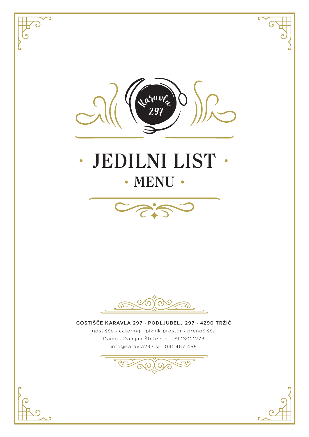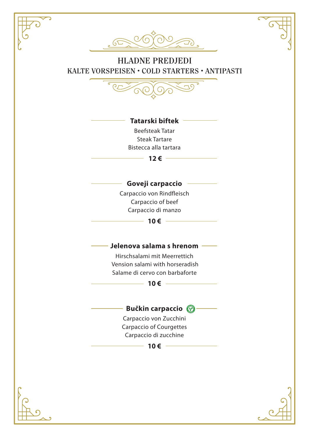$\sqrt{2}$ 

# HLADNE PREDJEDI KALTE VORSPEISEN • COLD STARTERS • ANTIPASTI



#### **Tatarski biftek**

Beefsteak Tatar Steak Tartare Bistecca alla tartara

 $-12$  €  $-$ 

### **Goveji carpaccio**

Carpaccio von Rindfleisch Carpaccio of beef Carpaccio di manzo

 $-10 €$  ——

#### **Jelenova salama s hrenom**

Hirschsalami mit Meerrettich Vension salami with horseradish Salame di cervo con barbaforte

**10€** ——

### **Bučkin carpaccio**

Carpaccio von Zucchini Carpaccio of Courgettes Carpaccio di zucchine

 $-10 €$   $-$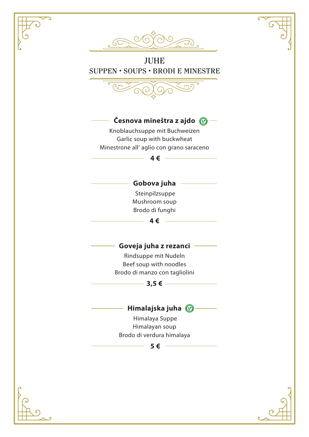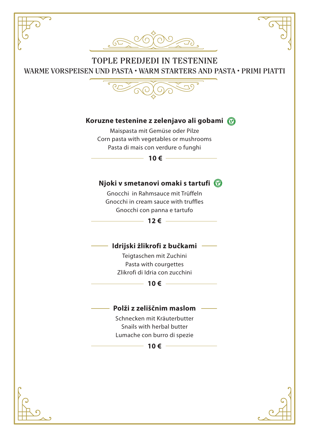# TOPLE PREDJEDI IN TESTENINE WARME VORSPEISEN UND PASTA • WARM STARTERS AND PASTA • PRIMI PIATTI



#### **Koruzne testenine z zelenjavo ali gobami**

Maispasta mit Gemüse oder Pilze Corn pasta with vegetables or mushrooms Pasta di mais con verdure o funghi

**10 €** –

#### **Njoki v smetanovi omaki s tartufi**

Gnocchi in Rahmsauce mit Trüffeln Gnocchi in cream sauce with truffles Gnocchi con panna e tartufo

 $-12 \epsilon$  ——

#### **Idrijski žlikrofi z bučkami**

Teigtaschen mit Zuchini Pasta with courgettes Zlikrofi di Idria con zucchini

#### **10 €**

#### **Polži z zeliščnim maslom**

Schnecken mit Kräuterbutter Snails with herbal butter Lumache con burro di spezie

 $-10 \epsilon$  —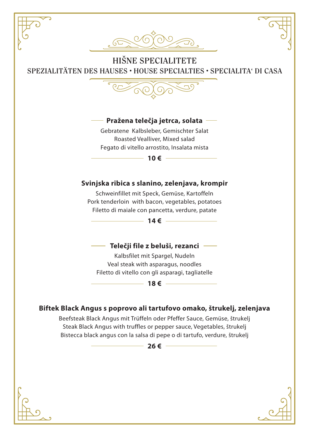

HIŠNE SPECIALITETE SPEZIALITÄTEN DES HAUSES • HOUSE SPECIALTIES • SPECIALITA' DI CASA



#### **Pražena telečja jetrca, solata**

Gebratene Kalbsleber, Gemischter Salat Roasted Vealliver, Mixed salad Fegato di vitello arrostito, Insalata mista

 $-10 \in$  ───

### **Svinjska ribica s slanino, zelenjava, krompir**

Schweinfillet mit Speck, Gemüse, Kartoffeln Pork tenderloin with bacon, vegetables, potatoes Filetto di maiale con pancetta, verdure, patate

 $-14 \epsilon$  ——

#### **Telečji file z beluši, rezanci**

Kalbsfilet mit Spargel, Nudeln Veal steak with asparagus, noodles Filetto di vitello con gli asparagi, tagliatelle

#### **18 €**

#### **Biftek Black Angus s poprovo ali tartufovo omako, štrukelj, zelenjava**

Beefsteak Black Angus mit Trüffeln oder Pfeffer Sauce, Gemüse, štrukelj Steak Black Angus with truffles or pepper sauce, Vegetables, štrukelj Bistecca black angus con la salsa di pepe o di tartufo, verdure, štrukelj

 $-26 \in -$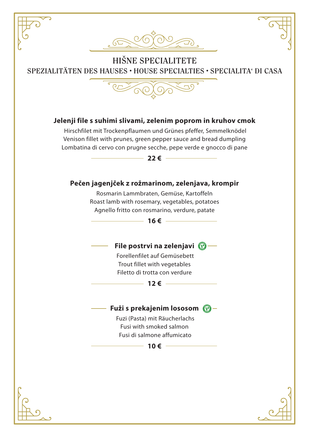



HIŠNE SPECIALITETE SPEZIALITÄTEN DES HAUSES • HOUSE SPECIALTIES • SPECIALITA' DI CASA



#### **Jelenji file s suhimi slivami, zelenim poprom in kruhov cmok**

 Hirschfilet mit Trockenpflaumen und Grünes pfeffer, Semmelknödel Venison fillet with prunes, green pepper sauce and bread dumpling Lombatina di cervo con prugne secche, pepe verde e gnocco di pane



#### **Pečen jagenjček z rožmarinom, zelenjava, krompir**

Rosmarin Lammbraten, Gemüse, Kartoffeln Roast lamb with rosemary, vegetables, potatoes Agnello fritto con rosmarino, verdure, patate

 $-16 \epsilon$  ——

#### **File postrvi na zelenjavi**

 Forellenfilet auf Gemüsebett Trout fillet with vegetables Filetto di trotta con verdure

#### **12€** ——

#### **Fuži s prekajenim lososom**

 Fuzi (Pasta) mit Räucherlachs Fusi with smoked salmon Fusi di salmone affumicato

 $-10 \epsilon$  —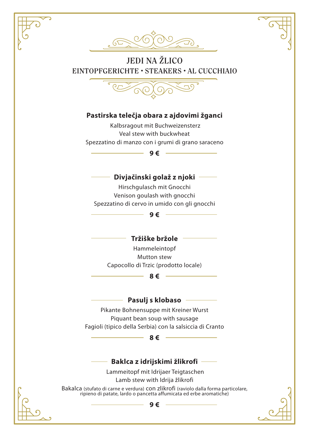

# JEDI NA ŽLICO EINTOPFGERICHTE • STEAKERS • AL CUCCHIAIO



#### **Pastirska telečja obara z ajdovimi žganci**

 Kalbsragout mit Buchweizensterz Veal stew with buckwheat Spezzatino di manzo con i grumi di grano saraceno

#### **9 €**

#### **Divjačinski golaž z njoki**

Hirschgulasch mit Gnocchi Venison goulash with gnocchi Spezzatino di cervo in umido con gli gnocchi

**9 €**

#### **Tržiške bržole**

Hammeleintopf Mutton stew Capocollo di Trzic (prodotto locale)

**8 €**

#### **Pasulj s klobaso**

Pikante Bohnensuppe mit Kreiner Wurst Piquant bean soup with sausage Fagioli (tipico della Serbia) con la salsiccia di Cranto

#### **8 €**

#### **Baklca z idrijskimi žlikrofi**

 Lammeitopf mit Idrijaer Teigtaschen Lamb stew with Idrija žlikrofi

Bakalca (stufato di carne e verdura) con zlikrofi (raviolo dalla forma particolare, ripieno di patate, lardo o pancetta affumicata ed erbe aromatiche)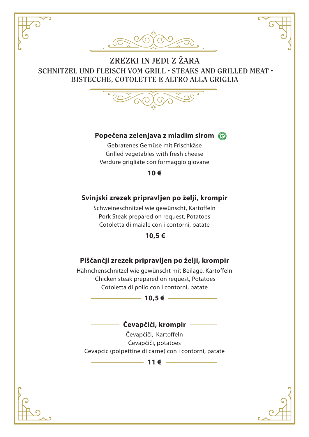

# ZREZKI IN JEDI Z ŽARA SCHNITZEL UND FLEISCH VOM GRILL • STEAKS AND GRILLED MEAT • BISTECCHE, COTOLETTE E ALTRO ALLA GRIGLIA



#### **Popečena zelenjava z mladim sirom**

Gebratenes Gemüse mit Frischkäse Grilled vegetables with fresh cheese Verdure grigliate con formaggio giovane



### **Svinjski zrezek pripravljen po želji, krompir**

Schweineschnitzel wie gewünscht, Kartoffeln Pork Steak prepared on request, Potatoes Cotoletta di maiale con i contorni, patate

**10,5 €**

# **Piščančji zrezek pripravljen po želji, krompir**

Hähnchenschnitzel wie gewünscht mit Beilage, Kartoffeln Chicken steak prepared on request, Potatoes Cotoletta di pollo con i contorni, patate



#### **Čevapčiči, krompir**

Čevapčiči, Kartoffeln Čevapčiči, potatoes Cevapcic (polpettine di carne) con i contorni, patate

**11 €**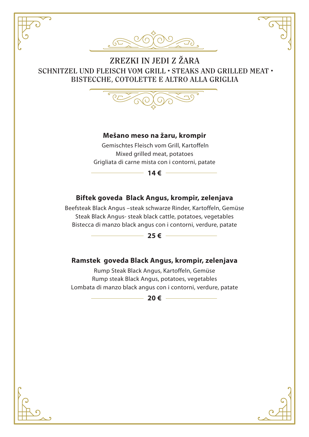

# ZREZKI IN JEDI Z ŽARA SCHNITZEL UND FLEISCH VOM GRILL • STEAKS AND GRILLED MEAT • BISTECCHE, COTOLETTE E ALTRO ALLA GRIGLIA



#### **Mešano meso na žaru, krompir**

 Gemischtes Fleisch vom Grill, Kartoffeln Mixed grilled meat, potatoes Grigliata di carne mista con i contorni, patate



#### **Biftek goveda Black Angus, krompir, zelenjava**

Beefsteak Black Angus –steak schwarze Rinder, Kartoffeln, Gemüse Steak Black Angus- steak black cattle, potatoes, vegetables Bistecca di manzo black angus con i contorni, verdure, patate



#### **Ramstek goveda Black Angus, krompir, zelenjava**

Rump Steak Black Angus, Kartoffeln, Gemüse Rump steak Black Angus, potatoes, vegetables Lombata di manzo black angus con i contorni, verdure, patate

 $-20 \epsilon$  —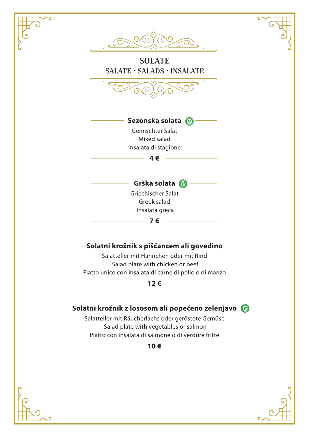